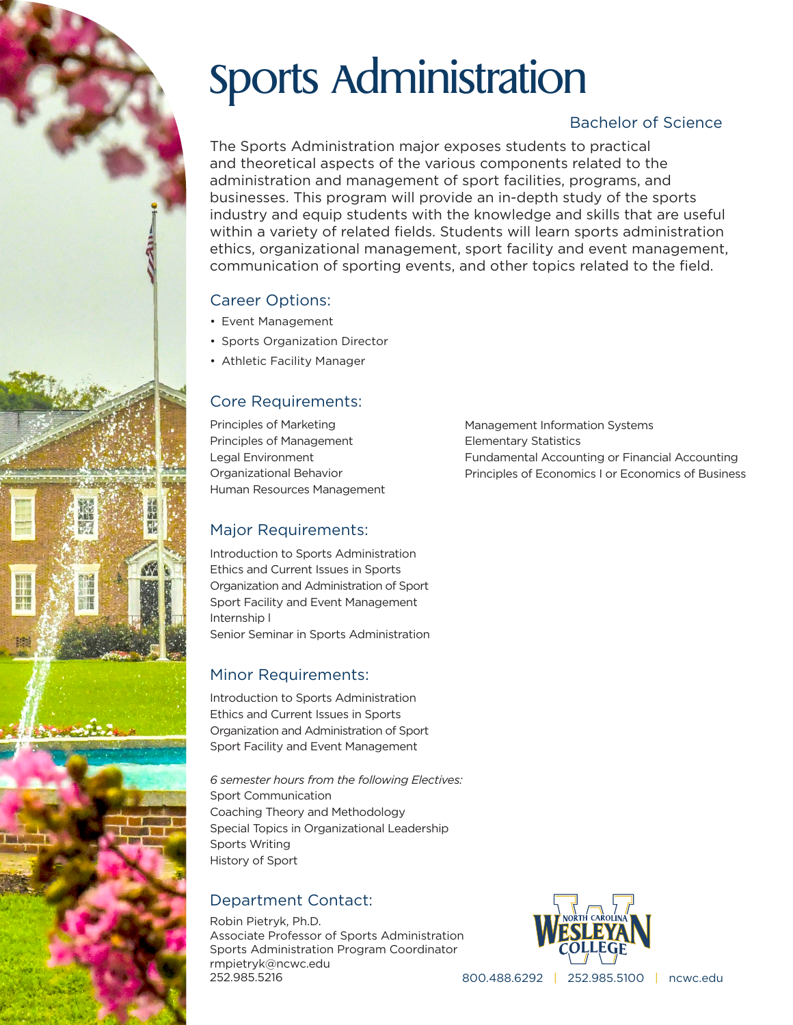# Sports Administration

## Bachelor of Science

The Sports Administration major exposes students to practical and theoretical aspects of the various components related to the administration and management of sport facilities, programs, and businesses. This program will provide an in-depth study of the sports industry and equip students with the knowledge and skills that are useful within a variety of related fields. Students will learn sports administration ethics, organizational management, sport facility and event management, communication of sporting events, and other topics related to the field.

## Career Options:

- Event Management
- Sports Organization Director
- Athletic Facility Manager

## Core Requirements:

Principles of Marketing Principles of Management Legal Environment Organizational Behavior Human Resources Management

## Major Requirements:

Introduction to Sports Administration Ethics and Current Issues in Sports Organization and Administration of Sport Sport Facility and Event Management Internship l

Introduction to Sports Administration Ethics and Current Issues in Sports Organization and Administration of Sport Sport Facility and Event Management

*6 semester hours from the following Electives:* Sport Communication Coaching Theory and Methodology Special Topics in Organizational Leadership Sports Writing History of Sport

## Department Contact:

Robin Pietryk, Ph.D. Associate Professor of Sports Administration Sports Administration Program Coordinator rmpietryk@ncwc.edu 252.985.5216



800.488.6292 | 252.985.5100 | ncwc.edu

Management Information Systems Elementary Statistics Fundamental Accounting or Financial Accounting Principles of Economics I or Economics of Business

Senior Seminar in Sports Administration Minor Requirements: